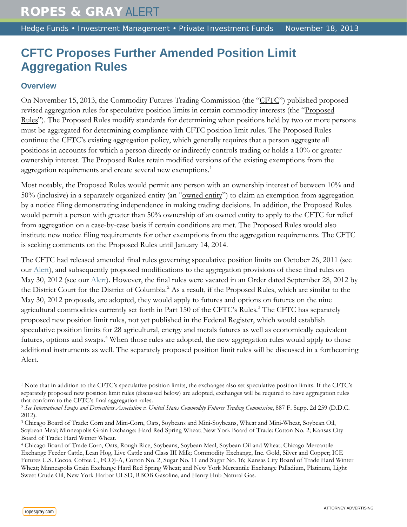# **CFTC Proposes Further Amended Position Limit Aggregation Rules**

#### **Overview**

On November 15, 2013, the Commodity Futures Trading Commission (the "CFTC") published proposed revised aggregation rules for speculative position limits in certain commodity interests (the "Proposed Rules"). The Proposed Rules modify standards for determining when positions held by two or more persons must be aggregated for determining compliance with CFTC position limit rules. The Proposed Rules continue the CFTC's existing aggregation policy, which generally requires that a person aggregate all positions in accounts for which a person directly or indirectly controls trading or holds a 10% or greater ownership interest. The Proposed Rules retain modified versions of the existing exemptions from the aggregation requirements and create several new exemptions.<sup>[1](#page-0-0)</sup>

Most notably, the Proposed Rules would permit any person with an ownership interest of between 10% and 50% (inclusive) in a separately organized entity (an "owned entity") to claim an exemption from aggregation by a notice filing demonstrating independence in making trading decisions. In addition, the Proposed Rules would permit a person with greater than 50% ownership of an owned entity to apply to the CFTC for relief from aggregation on a case-by-case basis if certain conditions are met. The Proposed Rules would also institute new notice filing requirements for other exemptions from the aggregation requirements. The CFTC is seeking comments on the Proposed Rules until January 14, 2014.

The CFTC had released amended final rules governing speculative position limits on October 26, 2011 (see our [Alert\)](http://www.ropesgray.com/news-and-insights/Insights/2011/10/commodity-futures-trading-commission-announces-final-rule-on-position-limits-for-futures-and-swaps.aspx), and subsequently proposed modifications to the aggregation provisions of these final rules on May 30, 2012 (see our *Alert*). However, the final rules were vacated in an Order dated September 28, 2012 by the District Court for the District of Columbia. [2](#page-0-1) As a result, if the Proposed Rules, which are similar to the May 30, 2012 proposals, are adopted, they would apply to futures and options on futures on the nine agricultural commodities currently set forth in Part 150 of the CFTC's Rules.<sup>[3](#page-0-2)</sup> The CFTC has separately proposed new position limit rules, not yet published in the Federal Register, which would establish speculative position limits for 28 agricultural, energy and metals futures as well as economically equivalent futures, options and swaps.<sup>[4](#page-0-3)</sup> When those rules are adopted, the new aggregation rules would apply to those additional instruments as well. The separately proposed position limit rules will be discussed in a forthcoming Alert.

 $\overline{a}$ 

<span id="page-0-0"></span><sup>1</sup> Note that in addition to the CFTC's speculative position limits, the exchanges also set speculative position limits. If the CFTC's separately proposed new position limit rules (discussed below) are adopted, exchanges will be required to have aggregation rules that conform to the CFTC's final aggregation rules.

<span id="page-0-1"></span><sup>2</sup> *See International Swaps and Derivatives Association v. United States Commodity Futures Trading Commission*, 887 F. Supp. 2d 259 (D.D.C. 2012).

<span id="page-0-2"></span><sup>3</sup> Chicago Board of Trade: Corn and Mini-Corn, Oats, Soybeans and Mini-Soybeans, Wheat and Mini-Wheat, Soybean Oil, Soybean Meal; Minneapolis Grain Exchange: Hard Red Spring Wheat; New York Board of Trade: Cotton No. 2; Kansas City Board of Trade: Hard Winter Wheat.

<span id="page-0-3"></span><sup>4</sup> Chicago Board of Trade Corn, Oats, Rough Rice, Soybeans, Soybean Meal, Soybean Oil and Wheat; Chicago Mercantile Exchange Feeder Cattle, Lean Hog, Live Cattle and Class III Milk; Commodity Exchange, Inc. Gold, Silver and Copper; ICE Futures U.S. Cocoa, Coffee C, FCOJ-A, Cotton No. 2, Sugar No. 11 and Sugar No. 16; Kansas City Board of Trade Hard Winter Wheat; Minneapolis Grain Exchange Hard Red Spring Wheat; and New York Mercantile Exchange Palladium, Platinum, Light Sweet Crude Oil, New York Harbor ULSD, RBOB Gasoline, and Henry Hub Natural Gas.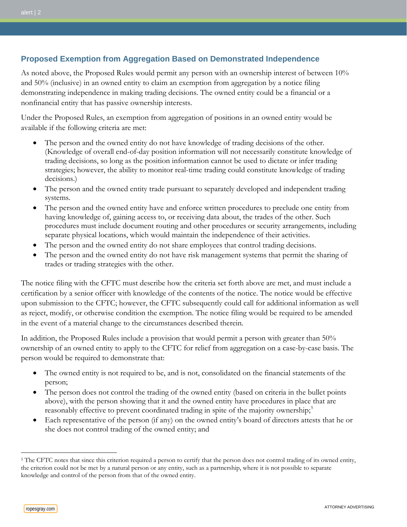## **Proposed Exemption from Aggregation Based on Demonstrated Independence**

As noted above, the Proposed Rules would permit any person with an ownership interest of between 10% and 50% (inclusive) in an owned entity to claim an exemption from aggregation by a notice filing demonstrating independence in making trading decisions. The owned entity could be a financial or a nonfinancial entity that has passive ownership interests.

Under the Proposed Rules, an exemption from aggregation of positions in an owned entity would be available if the following criteria are met:

- The person and the owned entity do not have knowledge of trading decisions of the other. (Knowledge of overall end-of-day position information will not necessarily constitute knowledge of trading decisions, so long as the position information cannot be used to dictate or infer trading strategies; however, the ability to monitor real-time trading could constitute knowledge of trading decisions.)
- The person and the owned entity trade pursuant to separately developed and independent trading systems.
- The person and the owned entity have and enforce written procedures to preclude one entity from having knowledge of, gaining access to, or receiving data about, the trades of the other. Such procedures must include document routing and other procedures or security arrangements, including separate physical locations, which would maintain the independence of their activities.
- The person and the owned entity do not share employees that control trading decisions.
- The person and the owned entity do not have risk management systems that permit the sharing of trades or trading strategies with the other.

The notice filing with the CFTC must describe how the criteria set forth above are met, and must include a certification by a senior officer with knowledge of the contents of the notice. The notice would be effective upon submission to the CFTC; however, the CFTC subsequently could call for additional information as well as reject, modify, or otherwise condition the exemption. The notice filing would be required to be amended in the event of a material change to the circumstances described therein.

In addition, the Proposed Rules include a provision that would permit a person with greater than 50% ownership of an owned entity to apply to the CFTC for relief from aggregation on a case-by-case basis. The person would be required to demonstrate that:

- The owned entity is not required to be, and is not, consolidated on the financial statements of the person;
- The person does not control the trading of the owned entity (based on criteria in the bullet points above), with the person showing that it and the owned entity have procedures in place that are reasonably effective to prevent coordinated trading in spite of the majority ownership; [5](#page-1-0)
- Each representative of the person (if any) on the owned entity's board of directors attests that he or she does not control trading of the owned entity; and

 $\overline{a}$ 

<span id="page-1-0"></span><sup>&</sup>lt;sup>5</sup> The CFTC notes that since this criterion required a person to certify that the person does not control trading of its owned entity, the criterion could not be met by a natural person or any entity, such as a partnership, where it is not possible to separate knowledge and control of the person from that of the owned entity.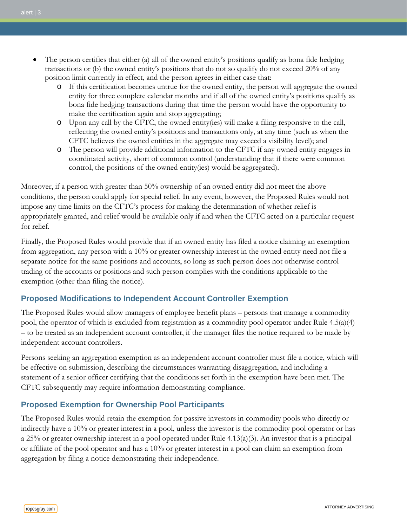- The person certifies that either (a) all of the owned entity's positions qualify as bona fide hedging transactions or (b) the owned entity's positions that do not so qualify do not exceed 20% of any position limit currently in effect, and the person agrees in either case that:
	- o If this certification becomes untrue for the owned entity, the person will aggregate the owned entity for three complete calendar months and if all of the owned entity's positions qualify as bona fide hedging transactions during that time the person would have the opportunity to make the certification again and stop aggregating;
	- o Upon any call by the CFTC, the owned entity(ies) will make a filing responsive to the call, reflecting the owned entity's positions and transactions only, at any time (such as when the CFTC believes the owned entities in the aggregate may exceed a visibility level); and
	- o The person will provide additional information to the CFTC if any owned entity engages in coordinated activity, short of common control (understanding that if there were common control, the positions of the owned entity(ies) would be aggregated).

Moreover, if a person with greater than 50% ownership of an owned entity did not meet the above conditions, the person could apply for special relief. In any event, however, the Proposed Rules would not impose any time limits on the CFTC's process for making the determination of whether relief is appropriately granted, and relief would be available only if and when the CFTC acted on a particular request for relief.

Finally, the Proposed Rules would provide that if an owned entity has filed a notice claiming an exemption from aggregation, any person with a 10% or greater ownership interest in the owned entity need not file a separate notice for the same positions and accounts, so long as such person does not otherwise control trading of the accounts or positions and such person complies with the conditions applicable to the exemption (other than filing the notice).

## **Proposed Modifications to Independent Account Controller Exemption**

The Proposed Rules would allow managers of employee benefit plans – persons that manage a commodity pool, the operator of which is excluded from registration as a commodity pool operator under Rule 4.5(a)(4) – to be treated as an independent account controller, if the manager files the notice required to be made by independent account controllers.

Persons seeking an aggregation exemption as an independent account controller must file a notice, which will be effective on submission, describing the circumstances warranting disaggregation, and including a statement of a senior officer certifying that the conditions set forth in the exemption have been met. The CFTC subsequently may require information demonstrating compliance.

## **Proposed Exemption for Ownership Pool Participants**

The Proposed Rules would retain the exemption for passive investors in commodity pools who directly or indirectly have a 10% or greater interest in a pool, unless the investor is the commodity pool operator or has a 25% or greater ownership interest in a pool operated under Rule 4.13(a)(3). An investor that is a principal or affiliate of the pool operator and has a 10% or greater interest in a pool can claim an exemption from aggregation by filing a notice demonstrating their independence.